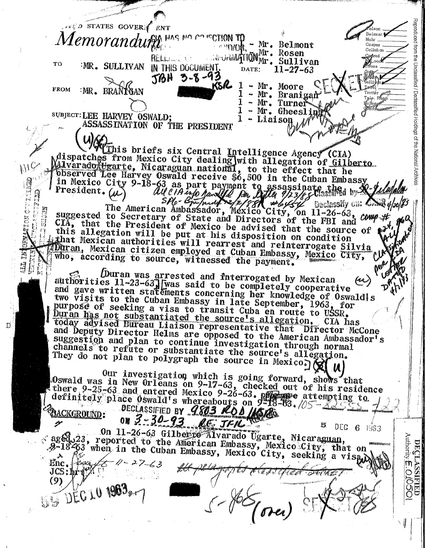Reproduced from the Unclassified CED STATES GOVER FRIT r<br>Olson Belmont &  $\emph{Aemor} and \emph{u}$  and  $\emph{a}$  in the construction  $\emph{m}$ Mohr - Mr. Belmont  $C<sub>G</sub>$ sper  $\operatorname{Callahan}$ **Mr. Rosen**<br>ArvRMATIONMr. Sullivan Gograd RELLANDE LO **X**Loac<br>Vans TO IMR. SULLIVAN IN THIS DOCUMENT. DATE:  $11 - 27 - 63$  $56H$  3-8-93 KSR 1 - Mr. Moore  $T$ ana **FROM EMR.** BRANTOAN / Declassified Holdings of the National - Mr. Branigan .<br>Trottér Tele. Rogn  $\mathbf{1}$  $-Mr$ . Turner Holme,<br>Gundy - Mr. Gheeslin SUBJECT: LEE HARVEY OSWALD: 1 - Liaison ASSASSINATION OF THE PRESIDENT Warnis briefs six Central Intelligence Agency (CIA) dispatches from Mexico City dealing with allegation of Gilberto<br>Malvarado Hearte, Nicaraguan national, to the effect that he<br>poserved Lee Harvey Oswald receive \$6,500 in the Cuban Embassy  $N_{1}$ buserved Lee harvey usward receive so, our in the choin musics in Mexico City 9-18-63 as part payment to assassinate the wide President. (a) all  $\ell$  is equally the Differential control of the control of the classify on 日 A Declassify on: ANR 4/20/83 ं<br>ठ SHOTE suggested to Secretary of State and Directors of the FBI and COMP +f  $n^{a}$  $\tilde{\tilde{c}}$ CIA, that the President of Mexico be advised that the source of  $\mathbf{P}^{x^{i}}$ this allegation will be put at his disposition on condition that Mexican authorities will rearrest and reinterrogate Silvia Duran, Mexican citizen employed at Cuban Embassy, Mexico City, who, according to source, witnessed the payment. per Duran was arrested and interrogated by Mexican authorities 11-23-63 lyas said to be completely cooperative and gave written statements concerning her knowledge of Oswaldls two visits to the Cuban Embassy in late September, 1963, purposé of seeking a visa to transit Cuba en route to USSR. for Duran has not substantiated the source's allegation. today advised Bureau Liaison representative that Director McCone and Deputy Director Helms are opposed to the American Ambassador's suggestion and plan to continue investigation through normal channels to refute or substantiate the source's allegation. They do not plan to polygraph the source in Mexico.) Our investigation which is going forward, shows that Oswald was in New Orleans on 9-17-63, checked out of his residence<br>there 9-25-63 and entered Mexico 9-26-63. property of his residence<br>definitely place Oswald's whereabours on 9-18-63. 2000<br>BACKGROUND: 0N 3-30-93. AC: JFA On 11-26-63 Gilberto Alvarado Ugarte, Nicaraguan, aged 23, reported to the American Embassy, Mexico City, that on<br>2-18-63 when in the Cuban Embassy, Mexico City, seeking a vis<sub>tu</sub>d Authority **DECLASSIFIED**<br>**DECLASSIFIED**  $Enc.$  Pea  $JCS:$   $h$   $f$   $\mathcal{N}$  $\frac{1}{\sqrt{2\pi}}$  $(9)$ **BE DEC 10 1902** 

D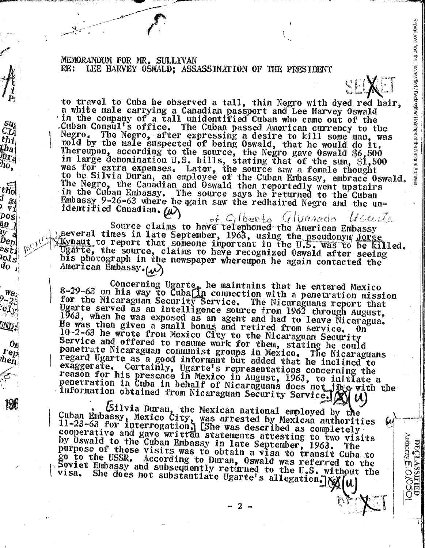MEMORANDUM FOR MR. SULLIVAN  $RE:$ LEE HARVEY OSWALD: ASSASSINATION OF THE PRESIDENT

 $su$ 

 $C\tilde{T}$ 

 $thj$ tha<br>Mr<sub>a</sub>

ĥо,

 $[t\tilde{h_0}]$ 

 $d_{g_4}$ 

 $\tilde{v}_j$ 

 $|pos|$ 

 $\frac{3n}{l}$ 

 $\mathbf{\overline{y}}$  a  $\widetilde{b}_{\Theta D} |$ est i

lel<sub>S</sub>

 $\overline{d_0}$ <sup>-</sup>

 $w_{a_i}$ 

 $\bm{0}$ 

 $I$  ep

'hen

to travel to Cuba he observed a tall, thin Negro with dyed red hair, a white male carrying a Canadian passport and Lee Harvey Oswald 'in the company of a tall unidentified Cuban who came out of the .Cuban Consul's office. The Cuban passed American currency to the Negro. The Negro, after expressing a desire to kill some man, was<br>told by the male suspected of being Oswald, that he would do it. Negro. Thereupon, according to the source, the Negro gave Oswald \$6,500 in large denomination U.S. bills, stating that of the sum, \$1,500<br>was for extra expenses. Later, the source saw a female thought<br>to be Silvia Duran, an employee of the Cuban Embassy, embrace Oswald. The Negro, the Canadian and Oswald then reportedly went upstairs in the Cuban Embassy. The source says he returned to the Cuban Embassy 9-26-63 where he gain saw the redhaired Negro and the unidentified Canadian. W

Reproduced from the Unclassified / Declassified Holdings of the National Archives

**DECLASSIFIED**<br>Authority **E**: O/OSO

of Cilberto Vilvarado U Carlos Source claims to have telephoned the American Embassy several times in late September, 1963, using the pseudonym Jorge<br>(Kynaut to report that someone important in the U.S. was to be killed. Ugarte, the source, claims to have recognized Oswald after seeing his photograph in the newspaper whereupon he again contacted the American Embassy.(av)

Concerning Ugarte, he maintains that he entered Mexico<br>8-29-63 on his way to Cubalin connection with a penetration mission for the Nicaraguan Security Service. The Nicaraguans report that<br>Ugarte served as an intelligence source from 1962 through August, 1963, when he was exposed as an agent and had to leave Nicaragua.<br>He was then given a small bonus and retired from service. On 10-2-63 he wrote from Mexico City to the Nicaraguan Security Service and offered to resume work for them, stating he could penetrate Nicaraguan communist groups in Mexico. The Nicaraguans regard Ugarte as a good informant but added that he inclined to exaggerate. Certainly, Ugarte's representations concerning the reason for his presence in Mexico in August, 1963, to initiate a penetration in Cuba in behalf of Nicaraguans does not jug with the Penetration in varia in boundary Security Service. (X) (U)

(Silvia Duran, the Mexican national employed by the<br>Cuban Embassy, Mexico City, was arrested by Mexican authorities<br>11-23-63 for interrogation. (She was described as completely<br>connerative and cave written extending attent cooperative and gave written statements attesting to two visits by Oswald to the Cuban Embassy in late September, 1963. The purpose of these visits was to obtain a visa to transit Cuba to go to the USSR. According to Duran, Oswald was referred to the Soviet Embassy and subsequently returned to the U.S. without the She does not substantiate Ugarte's allegation. visa. i u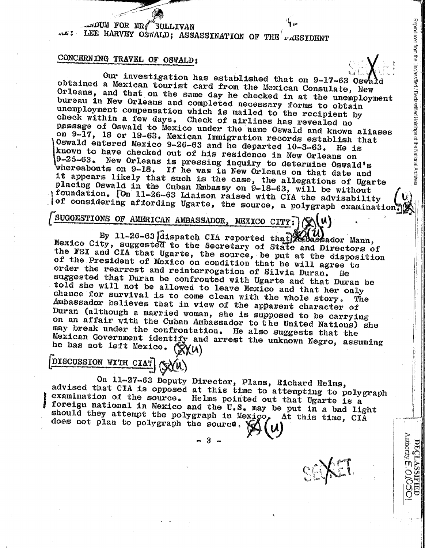.,;;: .. ~------ (

~~·\_.,,, .. -·•'"~~

لاست 1 mDUM FOR MR(<sup>\*\*</sup>SULLIVAN<br>معنى الله 1.EE HARVEY OSWALD; ASSASSINATION OF THE<sup>1</sup> AESIDENT

## CONCERNING TRAVEL OF OSWALD:

obtained a Mexican tourist card from the Mexican Consulate, New  $\frac{1}{2}$ <br>Orleans, and that on the same day he chadus is consulate, New Our investigation has established that on 9-17-63 Oswa Orleans, and that on the same day he checked in at the unemployment  $\frac{1}{\alpha}$ bureau in New Orleans and completed necessary forms to obtain  $\frac{6}{36}$ <br>unemployment compensation which is mailed to the recipion the check within <sup>a</sup> few days. Check of airlines has revealed no unemployment compensation which is mailed to the recipient by Dassage of Oswald to Mexico under the name Oswald and known aliases on 9-17 <sup>1</sup>18 or 19-63. Mexican Immigration records establish that  $\frac{19-25-63}{\text{whence both}}$ . New Orleans is pressing inquiry to determine Oswald's known to have checked out of his residence in New Orleans on the 1.5<br>9-25-63. New Orleans is pressing inquiry to determine Agent 1.1. Oswald entered Mexico 9-26-63 and he departed  $10-3-63$ . He is  $\frac{1}{3}$ whereabouts on 9-18. If he was in New Orleans on that date and placing Oswald in the Cuban Embassy on 9-18-63, will be without  $\bigcap_{k=1}^{\infty}$  foundation.  $\bigcap_{k=1}^{\infty}$  11-26-63 Lisison raised with CIA the cluimly illegation. it appears likely that such is the case, the allegations of Ugarte  $\begin{bmatrix} 0 & 0 \\ 0 & 0 \end{bmatrix}$ <br>placing Oswald in the Cuban Embassy on  $9-18-62$  will be without  $\begin{bmatrix} 0 & 0 \\ 0 & 0 \end{bmatrix}$ foundation. [On 11-26-63 Liaison raised with CIA the advisability  $\left|\bigcup_{i=1}^{N} x_i\right|$  of considering affording Ugarte, the source, a polygraph examination.

1

**EUGGESTIONS OF AMERICAN AMBASSADOR, MEXICO CITY:**  $\chi$  ( $\chi$ ) <br>By 11-26-63 *dispatch CIA reported that Rabassador Mann*, Mexico City, suggested to the Secretary of State and Directors of<br>the FBI and CIA that Ugarte, the source, be put at the disposition<br>of the President of Mexico on condition that he will agree to<br>order the rearrest and rein Ambassador believes that in view of the apparent character of chance for survival is to come clean with the whole story. The Duran dmbassador believes that in view of the apparent character of<br>Duran (although a married woman, she is supposed to be carrying<br>on an affair with the Cuban Ambassador to be carrying may break under the confrontation. He also suggests that the<br>Mexican Government identify and arrest the unknown Normo oggy on an affair with the Cuban Ambassador to the United Nations) she Mexican Government identify and arrest the unknown Negro, assuming the has not left Mexico.  $(\mathbf{\hat{N}}(u))$ he has not left Mexico. (X)(U)

# DISCUSSION WITH CIA? (SYA)

On 11-27-63 Deputy Director, Plans, Richard Helms,<br>advised that CIA is opposed at this time to attempting to polygraph<br>examination of the source. Helms pointed out that Ugarte is a<br>foreign national in Mexico and the U.S. m 1 should they attempt the polygraph in Mexico, At this time, CIA

... **3** -

—<br><sub>[1]</sub>

 $\Xi$  :

and the from  $\frac{1}{2}$ 

--

<sup>~</sup>

<sup>~</sup>  $\leq$  1

I

/:

Authority E

**DSO** 

wedword  $\rm \ddot{\circ}$